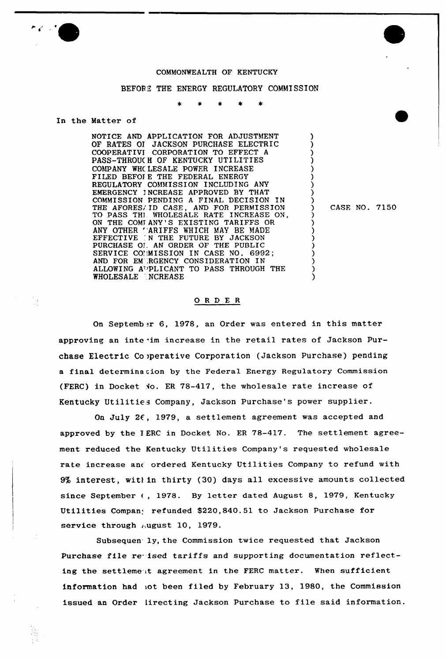

#### COMMONWEALTH OF KENTUCKY

#### BEFORE THE ENERGY REGULATORY COMMISSION

#### In the Matter of

NOTICE AND APPLICATION FOR ADJUSTMENT OF RATES OI JACKSON PURCHASE ELECTRIC COOPERATIVI CORPORATION TO EFFECT <sup>A</sup> PASS-THROUC <sup>H</sup> OF KENTUCKY UTILITIES COMPANY WHC LESALE POWFR INCREASE FILED BEFOF E THE FEDERAL ENERGY REGULATORY COMMISSION INCLUDING ANY EMERGENCY I NCREASE APPROVED BY THAT COMMISSION PENDING <sup>A</sup> FINAL DECISION IN THE AFORES/.ID CASE, AND FOR PERMISSION TO PASS TH]. WHOLESALE RATE INCREASE ON, ON THE COMTANY'S EXISTING TARIFFS OR ANY OTHER 'ARIFFS WHICH MAY BE MADE EFFECTIVE TN THE FUTURE BY JACKSON PURCHASE OI AN ORDER OF THE PUBLIC SERVICE COMISSION IN CASE NO. 6992; AND FOR EM: RGENCY CONSIDERATION IN ALLOWING A<sup>D</sup>PLICANT TO PASS THROUGH THE WHOLESALE NCREASE

) CASF. NO. 7150

) ) ) ) ) ) ) ) )

> ) ) ) ) ) ) ) ) )

#### ORDER

On September 6, 1978, an Order was entered in this matter approving an inte im increase in the retail rates of Jackson Purchase Electric Co iperative Corporation (Jackson Purchase) pending a final determinacion by the Federal Energy Regulatory Commission (FERC) in Docket  $\sqrt{10}$ . ER 78-417, the wholesale rate increase of Kentucky Utilities Company, Jackson Purchase's power supplier.

On July 2C, 1979, a settlement agreement was accepted and approved by the I ERC in Docket No. ER 78-417. The settlement agreement reduced the Kentucky Utilities Company's requested wholesale rate increase anc ordered Kentucky Utilities Company to refund with 9% interest, wit) in thirty (30) days all excessive amounts collected since September (, 1978. By letter dated August 8, 1979, Kentucky Utilities Company refunded \$220,840.51 to Jackson Purchase for service through  $\mu$ ugust 10, 1979.

Subsequen. ly, the Commission twice requested that Jackson Purchase file re ised tariffs and supporting documentation reflecting the settleme it agreement in the FERC matter. When sufficient information had iot been filed by February 13, 1980, the Commission issued an Order lirecting Jackson Purchase to file said information.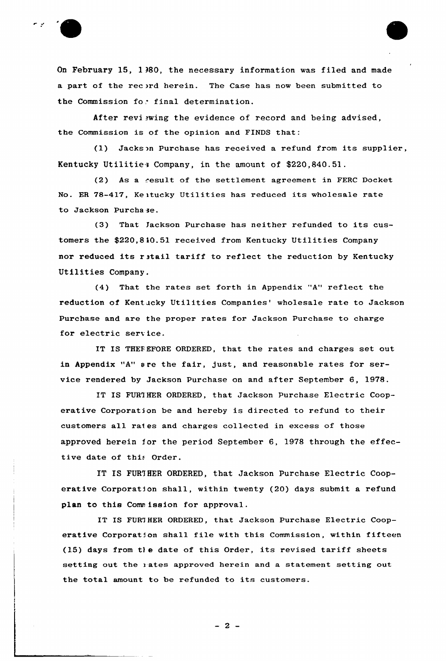

On February 15, 1 380, the necessary information was filed and made a part of the record herein. The Case has now been submitted to the Commission for final determination.

After reviewing the evidence of record and being advised, the Commission is of the opinion and FINDS that:

(1) Jackson Purchase has received <sup>a</sup> refund from its supplier, Kentucky Utilitiea Company, in the amount of \$220,840.51.

(2) As a result of the settlement agreement in FERC Docket No. ER 78-417, Kentucky Utilities has reduced its wholesale rate to Jackson Purchase.

(3) That jackson Purchase has neither refunded to its customers the \$220,8 40.51 received from Kentucky Utilities Company nor reduced its ratail tariff to reflect the reduction by Kentucky Utilities Company.

(4) That the rates set forth in Appendix "A" reflect the reduction of Kentucky Utilities Companies' wholesale rate to Jackson Purchase and are the proper rates for Jackson Purchase to charge for electric service.

IT IS THEREFORE ORDERED, that the rates and charges set out in Appendix "A" <sup>8</sup> re the fair, just, and reasonable rates for service rendered by Jackson Purchase on and after September 6, 1978.

IT IS FURTHER ORDERED, that Jackson Purchase Electric Cooperative Corporation be and hereby is directed to refund to their customers all rates and charges collected in excess of those approved herein for the period September 6, 1978 through the effective date of this Order.

IT IS FURTHER ORDERED, that Jackson Purchase Electric Cooperative Corporation shall, within twenty (20) days submit a refund plan to this Commission for approval.

IT IS FUR7HER ORDERED, that Jackson Purchase Electric Cooperative Corporation shall file with this Commission, within fifteen (15) days from t) e date of this Order, its revised tariff sheets setting out the <sup>i</sup> ates approved herein and a statement setting out the total amount to be refunded to its customers.

 $-2-$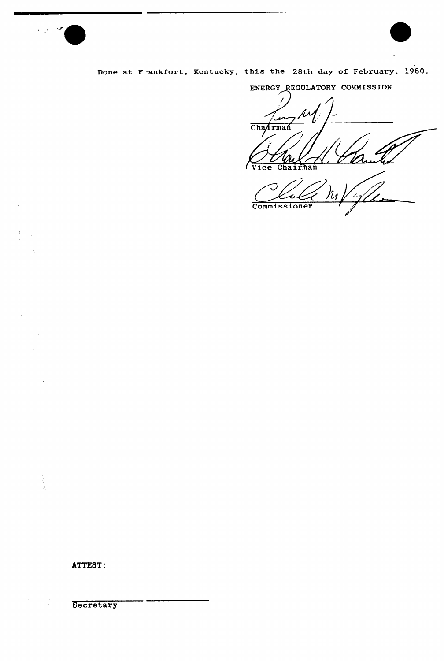

 $\bar{z}$ 

 $\mathord{\uparrow}$ 

i,

 $\frac{1}{2}$  $\hat{\mathcal{D}}$ ÷.

 $\frac{1}{4}$ 

Done at Frankfort, Kentucky, this the 28th day of February, 1980.

Commissioner

-a k

ENERGY REGULATORY COMMISSION  $\prime$  $h^2$  $\overline{M}$ Chantman  $\frac{U}{\text{Vice}}$ Chairman  $\mathcal O$ 

 $\mathcal{A}^{\mathcal{A}}$ 

ATTEST:

 $\label{eq:2} \frac{1}{2}\sum_{i=1}^{N}\frac{1}{2}\left(\frac{1}{2}\right)^{2}$ **Secretary**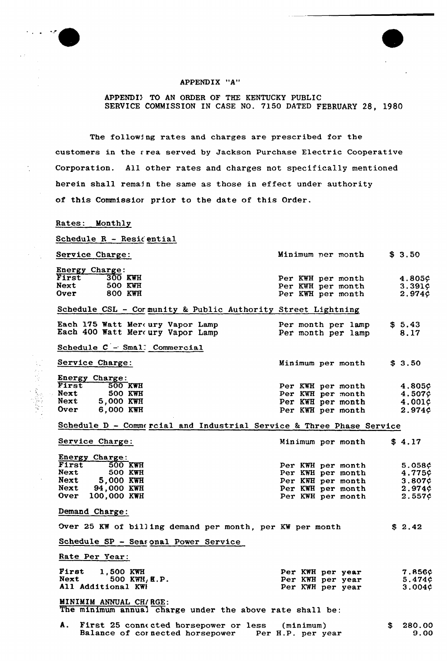

## APPENDIX "A"

# APPENDI> TO AN ORDER OF THE KENTUCKY PUBLIC SERVICE COMMISSION IN CASE NO. 7150 DATED FEBRUARY 28, 1980

The following rates and charges are prescribed for the customers in the area served by Jackson Purchase Electric Cooperative Corporation. All other rates and charges not specifically mentioned herein shall remain the same as those in effect under authority of this Commissior prior to the date of this Order.

## Rates: Monthly

Schedule  $R -$  Resicential

Service Charge:

|             | Energy Charge: |                   |        |
|-------------|----------------|-------------------|--------|
| First       | $300$ KWH      | Per KWH per month | 4.805¢ |
| Next        | 500 KWH        | Per KWH per month | 3.391¢ |
| <b>Over</b> | 800 KWH        | Per KWH per month | 2.974¢ |

# Schedule CSL - Cormunity & Public Authority Street Lightning

|  | Each 175 Watt Mereury Vapor Lamp<br>Each 400 Watt Mercury Vapor Lamp |  | Per month per lamp<br>Per month per lamp |  | \$5.43<br>8.17 |  |
|--|----------------------------------------------------------------------|--|------------------------------------------|--|----------------|--|
|  |                                                                      |  |                                          |  |                |  |

Schedule C - Smal: Commercia

Service Charge:

**この中に、新型の** 

|       | <b>Energy Charge:</b> |                |
|-------|-----------------------|----------------|
| First |                       | <b>500 KWH</b> |
| Next  |                       | <b>500 KWH</b> |
| Next  | 5,000 KWH             |                |
| Over  | 6,000 KWH             |                |

|  |  | Minimum per month | \$ 3.50 |
|--|--|-------------------|---------|
|  |  | Per KWH per month | 4.805¢  |
|  |  | Per KWH per month | 4.507¢  |
|  |  | Per KWH per month | 4.001¢  |
|  |  | Per KWH per month | 2.974¢  |

 $$3.50$ 

\$ 2.42

Minimum per month

# Schedule D - Commercial and Industrial Service & Three Phase Service

| Service Charge: |                       |  |                   | Minimum per month |        |  |
|-----------------|-----------------------|--|-------------------|-------------------|--------|--|
|                 | <b>Energy Charge:</b> |  |                   |                   |        |  |
|                 | First 500 KWH         |  | Per KWH per month |                   | 5.058¢ |  |
| Next            | 500 KWH               |  | Per KWH per month |                   | 4.775¢ |  |
| Next            | 5,000 KWH             |  | Per KWH per month |                   | 3.807c |  |
| Next            | 94,000 KWH            |  | Per KWH per month |                   | 2.974c |  |
| Over            | 100.000 KWH           |  | Per KWH per month |                   | 2.557c |  |

#### Demand Charge:

Over 25 KW of bill ing demand per month, per KW per month

# Schedule SP — Seasonal Power Service

Rate Per Year:

| First              | 1,500 KWH |                 |  | Per KWH per year | <b>7.856¢</b> |
|--------------------|-----------|-----------------|--|------------------|---------------|
| Next               |           | $500$ KWH, E.P. |  | Per KWH per year | 5.474C        |
| All Additional KWH |           |                 |  | Per KWH per year | 3.004c        |

MINIMIM ANNUAL CHIRGE:

The minimum annual charge under the above rate shall be:

| A. First 25 connected horsepower or less (minimum)   | \$280.00 |
|------------------------------------------------------|----------|
| Balance of cornected horsepower<br>Per H.P. per year | 9.00     |